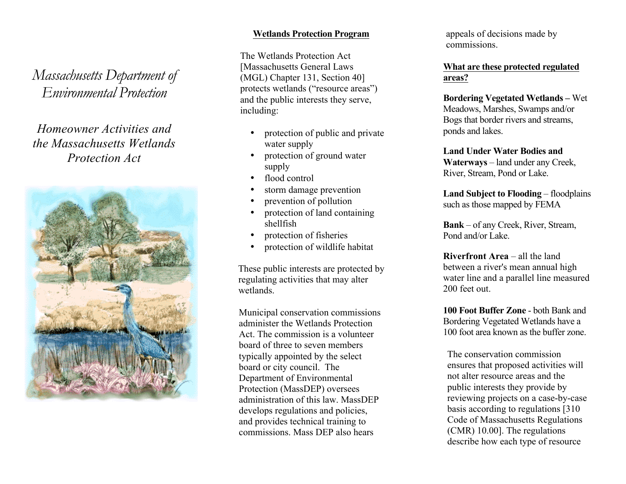*Massachusetts Department of Environmental Protection*

# *Homeowner Activities and the Massachusetts Wetlands Protection Act*



### **Wetlands Protection Program**

The Wetlands Protection Act [Massachusetts General Laws (MGL) Chapter 131, Section 40] protects wetlands ("resource areas" ) and the public interests they serve, including:

- protection of public and private water supply
- protection of ground water supply
- flood control
- storm damage prevention
- prevention of pollution
- protection of land containing shellfish
- protection of fisheries
- protection of wildlife habitat

These public interests are protected by regulating activities that may alter wetlands.

Municipal conservation commission s administer the Wetlands Protection Act. The commission is a volunteer board of three to seven members typically appointed by the select board or city council. The Department of Environmental Protection (MassDEP) oversees administration of this law. MassDEP develops regulations and policies, and provides technical training to commissions. Mass DEP also hears

appeals of decisions made by commissions.

## **What are these protected regulated areas?**

**Bordering Vegetated Wetlands –** Wet Meadows, Marshes, Swamps and/or Bogs that border rivers and streams, ponds and lakes .

**Land Under Water Bodies and Waterways** – land under any Creek, River, Stream, Pond or Lake .

**Land Subject to Flooding** – floodplains such as those mapped by FEMA

**Bank** – of any Creek, River, Stream, Pond and/or Lake .

**Riverfront Area** – all the land between a river's mean annual high water line and a parallel line measured 200 feet out.

**100 Foot Buffer Zone** - both Bank and Bordering Vegetated Wetlands have a 100 foot area known as the buffer zone.

The conservation commission ensures that proposed activities will not alter resource areas and the public interests they provide by reviewing projects on a case -by -case basis according to regulations [310 Code of Massachusetts Regulations (CMR) 10.00]. The regulations describe how each type of resource